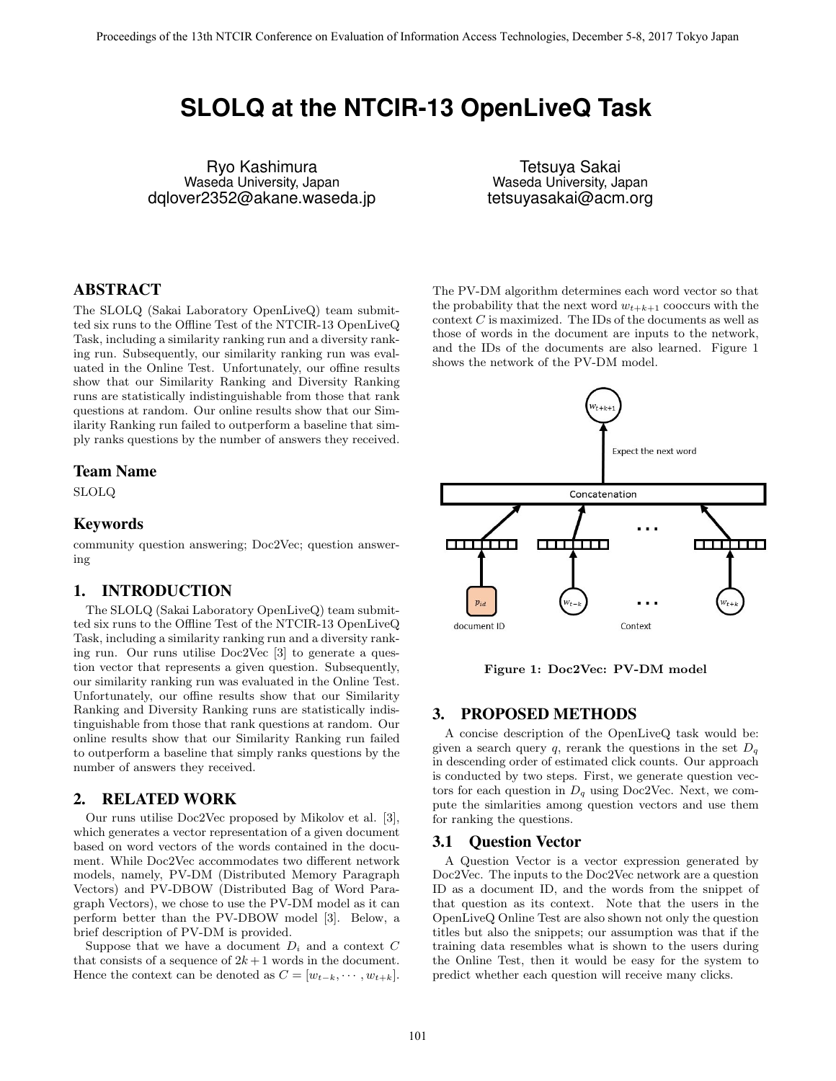# **SLOLQ at the NTCIR-13 OpenLiveQ Task**

Ryo Kashimura Waseda University, Japan dqlover2352@akane.waseda.jp

Tetsuya Sakai Waseda University, Japan tetsuyasakai@acm.org

# ABSTRACT

The SLOLQ (Sakai Laboratory OpenLiveQ) team submitted six runs to the Offline Test of the NTCIR-13 OpenLiveQ Task, including a similarity ranking run and a diversity ranking run. Subsequently, our similarity ranking run was evaluated in the Online Test. Unfortunately, our offine results show that our Similarity Ranking and Diversity Ranking runs are statistically indistinguishable from those that rank questions at random. Our online results show that our Similarity Ranking run failed to outperform a baseline that simply ranks questions by the number of answers they received.

### Team Name

SLOLQ

# Keywords

community question answering; Doc2Vec; question answering

# 1. INTRODUCTION

The SLOLQ (Sakai Laboratory OpenLiveQ) team submitted six runs to the Offline Test of the NTCIR-13 OpenLiveQ Task, including a similarity ranking run and a diversity ranking run. Our runs utilise Doc2Vec [3] to generate a question vector that represents a given question. Subsequently, our similarity ranking run was evaluated in the Online Test. Unfortunately, our offine results show that our Similarity Ranking and Diversity Ranking runs are statistically indistinguishable from those that rank questions at random. Our online results show that our Similarity Ranking run failed to outperform a baseline that simply ranks questions by the number of answers they received.

## 2. RELATED WORK

Our runs utilise Doc2Vec proposed by Mikolov et al. [3], which generates a vector representation of a given document based on word vectors of the words contained in the document. While Doc2Vec accommodates two different network models, namely, PV-DM (Distributed Memory Paragraph Vectors) and PV-DBOW (Distributed Bag of Word Paragraph Vectors), we chose to use the PV-DM model as it can perform better than the PV-DBOW model [3]. Below, a brief description of PV-DM is provided.

Suppose that we have a document  $D_i$  and a context  $C$ that consists of a sequence of  $2k+1$  words in the document. Hence the context can be denoted as  $C = [w_{t-k}, \dots, w_{t+k}].$  The PV-DM algorithm determines each word vector so that the probability that the next word  $w_{t+k+1}$  cooccurs with the context *C* is maximized. The IDs of the documents as well as those of words in the document are inputs to the network, and the IDs of the documents are also learned. Figure 1 shows the network of the PV-DM model.



**Figure 1: Doc2Vec: PV-DM model**

## 3. PROPOSED METHODS

A concise description of the OpenLiveQ task would be: given a search query  $q$ , rerank the questions in the set  $D_q$ in descending order of estimated click counts. Our approach is conducted by two steps. First, we generate question vectors for each question in  $D_q$  using Doc2Vec. Next, we compute the simlarities among question vectors and use them for ranking the questions.

### 3.1 Question Vector

A Question Vector is a vector expression generated by Doc2Vec. The inputs to the Doc2Vec network are a question ID as a document ID, and the words from the snippet of that question as its context. Note that the users in the OpenLiveQ Online Test are also shown not only the question titles but also the snippets; our assumption was that if the training data resembles what is shown to the users during the Online Test, then it would be easy for the system to predict whether each question will receive many clicks.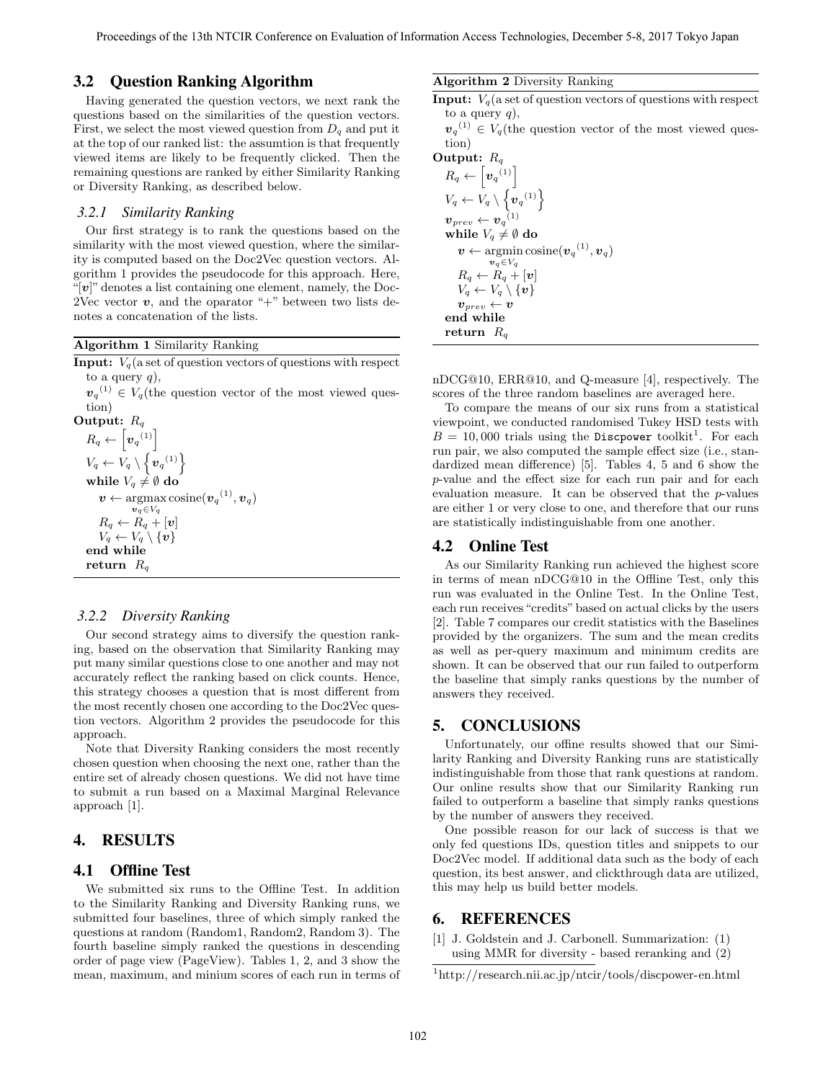# 3.2 Question Ranking Algorithm

Having generated the question vectors, we next rank the questions based on the similarities of the question vectors. First, we select the most viewed question from  $D_q$  and put it at the top of our ranked list: the assumtion is that frequently viewed items are likely to be frequently clicked. Then the remaining questions are ranked by either Similarity Ranking or Diversity Ranking, as described below.

#### *3.2.1 Similarity Ranking*

Our first strategy is to rank the questions based on the similarity with the most viewed question, where the similarity is computed based on the Doc2Vec question vectors. Algorithm 1 provides the pseudocode for this approach. Here, " $[v]$ " denotes a list containing one element, namely, the Doc-2Vec vector  $v$ , and the oparator "+" between two lists denotes a concatenation of the lists.

### **Algorithm 1** Similarity Ranking

**Input:**  $V_q$  (a set of question vectors of questions with respect to a query  $q$ ,

 $v_q^{(1)} \in V_q$ (the question vector of the most viewed question)

```
Output: Rq
 R_q \leftarrow \left\lceil \bm{v}_q^{\;\,(1)} \right\rceilV_q \leftarrow V_q \setminus \left\{ \boldsymbol{v}_q^{(1)} \right\}while V_q \neq \emptyset do
       \boldsymbol{v} \leftarrow \operatorname{argmax} \operatorname{cosine}(\boldsymbol{v}_{q}^{ \ (1)}, \boldsymbol{v}_{q})vq∈Vq
       R_q \leftarrow R_q + [\boldsymbol{v}]V_q \leftarrow V_q \setminus \{\bm{v}\}end while
return Rq
```
#### *3.2.2 Diversity Ranking*

Our second strategy aims to diversify the question ranking, based on the observation that Similarity Ranking may put many similar questions close to one another and may not accurately reflect the ranking based on click counts. Hence, this strategy chooses a question that is most different from the most recently chosen one according to the Doc2Vec question vectors. Algorithm 2 provides the pseudocode for this approach.

Note that Diversity Ranking considers the most recently chosen question when choosing the next one, rather than the entire set of already chosen questions. We did not have time to submit a run based on a Maximal Marginal Relevance approach [1].

# 4. RESULTS

# 4.1 Offline Test

We submitted six runs to the Offline Test. In addition to the Similarity Ranking and Diversity Ranking runs, we submitted four baselines, three of which simply ranked the questions at random (Random1, Random2, Random 3). The fourth baseline simply ranked the questions in descending order of page view (PageView). Tables 1, 2, and 3 show the mean, maximum, and minium scores of each run in terms of

#### **Algorithm 2** Diversity Ranking

**Input:**  $V_q$  (a set of question vectors of questions with respect to a query *q*),

 $v_q^{(1)} \in V_q$ (the question vector of the most viewed question)

# **Output:** *R<sup>q</sup>*  $R_q \leftarrow \left[ \boldsymbol{v}_q^{\ \left( 1 \right)} \right]$  $V_q \leftarrow V_q \setminus \left\{ \boldsymbol{v}_q^{(1)} \right\}$  $\boldsymbol{v}_{prev} \leftarrow \boldsymbol{v}_{q}^{(1)}$ **while**  $V_q \neq \emptyset$  do  $\boldsymbol{v} \leftarrow \operatorname{argmin} \operatorname{cosine}(\boldsymbol{v}_{q}^{(1)}, \boldsymbol{v}_{q})$  $v_q$ <del>*∈V*<sup>*q*</sup></del>  $R_q \leftarrow R_q + [\boldsymbol{v}]$  $V_q \leftarrow V_q \setminus \{v\}$  $\boldsymbol{v}_{\textit{prev}} \leftarrow \boldsymbol{v}$ **end while return** *R<sup>q</sup>*

nDCG@10, ERR@10, and Q-measure [4], respectively. The scores of the three random baselines are averaged here.

To compare the means of our six runs from a statistical viewpoint, we conducted randomised Tukey HSD tests with  $B = 10,000$  trials using the Discpower toolkit<sup>1</sup>. For each run pair, we also computed the sample effect size (i.e., standardized mean difference) [5]. Tables 4, 5 and 6 show the *p*-value and the effect size for each run pair and for each evaluation measure. It can be observed that the *p*-values are either 1 or very close to one, and therefore that our runs are statistically indistinguishable from one another.

### 4.2 Online Test

As our Similarity Ranking run achieved the highest score in terms of mean nDCG@10 in the Offline Test, only this run was evaluated in the Online Test. In the Online Test, each run receives "credits" based on actual clicks by the users [2]. Table 7 compares our credit statistics with the Baselines provided by the organizers. The sum and the mean credits as well as per-query maximum and minimum credits are shown. It can be observed that our run failed to outperform the baseline that simply ranks questions by the number of answers they received.

### 5. CONCLUSIONS

Unfortunately, our offine results showed that our Similarity Ranking and Diversity Ranking runs are statistically indistinguishable from those that rank questions at random. Our online results show that our Similarity Ranking run failed to outperform a baseline that simply ranks questions by the number of answers they received.

One possible reason for our lack of success is that we only fed questions IDs, question titles and snippets to our Doc2Vec model. If additional data such as the body of each question, its best answer, and clickthrough data are utilized, this may help us build better models.

## 6. REFERENCES

[1] J. Goldstein and J. Carbonell. Summarization: (1) using MMR for diversity - based reranking and (2)

<sup>1</sup>http://research.nii.ac.jp/ntcir/tools/discpower-en.html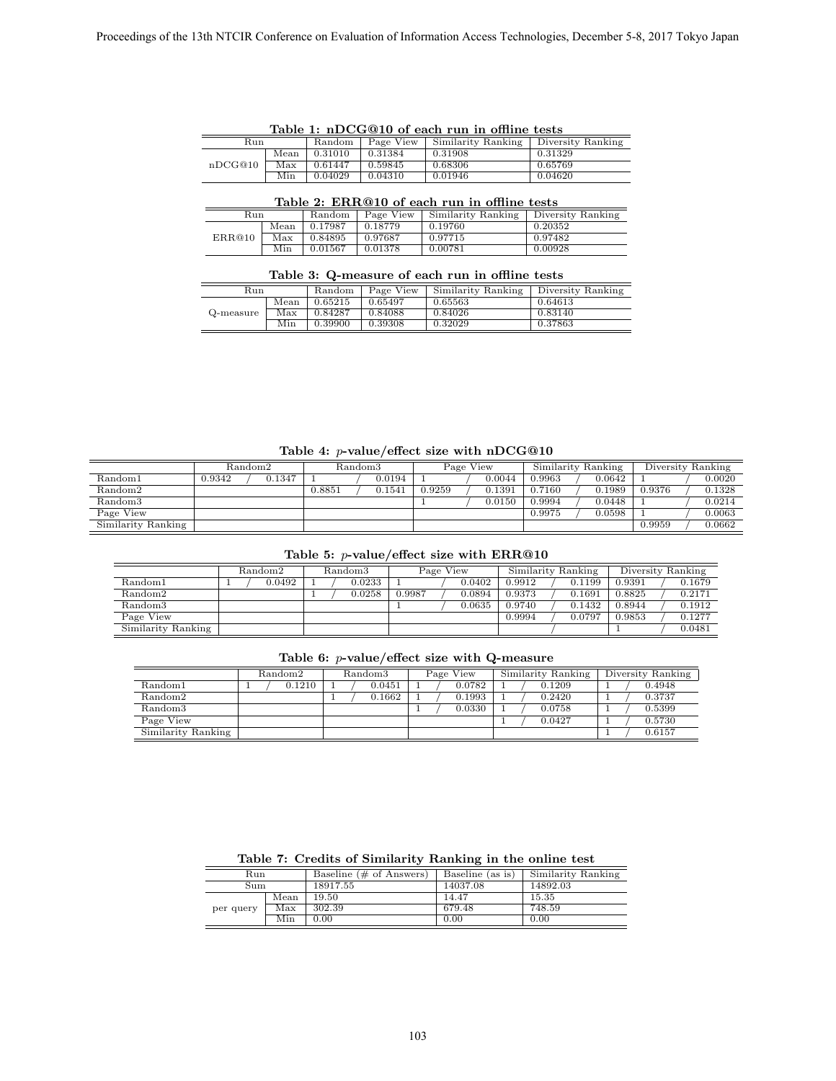| rable 1: mDCG@10 of each run in omine tests |      |         |             |                                        |         |  |  |
|---------------------------------------------|------|---------|-------------|----------------------------------------|---------|--|--|
| Run                                         |      | Random  | $Page$ View | Similarity Ranking   Diversity Ranking |         |  |  |
|                                             | Mean | 0.31010 | 0.31384     | 0.31908                                | 0.31329 |  |  |
| nDCG@10                                     | Max  | 0.61447 | 0.59845     | 0.68306                                | 0.65769 |  |  |
|                                             | Min  | 0.04029 | 0.04310     | 0.01946                                | 0.04620 |  |  |

**Table 1: nDCG@10 of each run in offline tests**

## **Table 2: ERR@10 of each run in offline tests**

| Run    |      | Random  | Page View | Similarity Ranking | Diversity Ranking |  |
|--------|------|---------|-----------|--------------------|-------------------|--|
|        | Mean | 0.17987 | 0.18779   | 0.19760            | 0.20352           |  |
| ERR@10 | Max  | 0.84895 | 0.97687   | 0.97715            | 0.97482           |  |
|        | Min  | 0.01567 | 0.01378   | 0.00781            | 0.00928           |  |

### **Table 3: Q-measure of each run in offline tests**

| Run       |      | Random  | Page View | Similarity Ranking | Diversity Ranking |
|-----------|------|---------|-----------|--------------------|-------------------|
|           | Mean | 0.65215 | 0.65497   | 0.65563            | 0.64613           |
| Q-measure | Max  | 0.84287 | 0.84088   | 0.84026            | 0.83140           |
|           | Min  | 0.39900 | 0.39308   | 0.32029            | 0.37863           |

**Table 4:** *p***-value/effect size with nDCG@10**

|                     | Random2          | $\rm Random3$ |        |        | Page View | Similarity Ranking |        |        | Diversity Ranking |
|---------------------|------------------|---------------|--------|--------|-----------|--------------------|--------|--------|-------------------|
| Random1             | 0.1347<br>0.9342 |               | 0.0194 |        | 0.0044    | 9.9963             | 0.0642 |        | 0.0020            |
| Random <sub>2</sub> |                  | 0.8851        | 0.1541 | 0.9259 | 0.1391    | 0.7160             | 0.1989 | 0.9376 | 0.1328            |
| Random3             |                  |               |        |        | 0.0150    | 0.9994             | 0.0448 |        | 0.0214            |
| Page View           |                  |               |        |        |           | 0.9975             | 0.0598 |        | 0.0063            |
| Similarity Ranking  |                  |               |        |        |           |                    |        | 0.9959 | 0.0662            |

### **Table 5:** *p***-value/effect size with ERR@10**

|                     | Random2 | Random3 | Page View        | Similarity Ranking | Diversity Ranking |
|---------------------|---------|---------|------------------|--------------------|-------------------|
| Random1             | 0.0492  | 0.0233  | 0.0402           | 0.1199<br>0.9912   | 0.1679<br>0.9391  |
| Random <sub>2</sub> |         | 0.0258  | 0.0894<br>0.9987 | 0.9373<br>0.1691   | 0.2171<br>0.8825  |
| Random3             |         |         | 0.0635           | 0.9740<br>0.1432   | 0.1912<br>0.8944  |
| Page View           |         |         |                  | 0.9994<br>0.0797   | 0.1277<br>0.9853  |
| Similarity Ranking  |         |         |                  |                    | 0.0481            |

#### **Table 6:** *p***-value/effect size with Q-measure**

|                     | Random <sub>2</sub> | $\rm Random3$ | Page View | Similarity Ranking | Diversity Ranking |
|---------------------|---------------------|---------------|-----------|--------------------|-------------------|
| Random1             | 0.1210              | 0.0451        | 0.0782    | 0.1209             | 0.4948            |
| Random <sub>2</sub> |                     | 0.1662        | 0.1993    | 0.2420             | 0.3737            |
| Random <sub>3</sub> |                     |               | 0.0330    | 0.0758             | 0.5399            |
| Page View           |                     |               |           | 0.0427             | 0.5730            |
| Similarity Ranking  |                     |               |           |                    | 0.6157            |

| $\ldots$  |      |                                    |                  |                    |  |  |  |  |
|-----------|------|------------------------------------|------------------|--------------------|--|--|--|--|
| Run       |      | Baseline $(\# \text{ of Answers})$ | Baseline (as is) | Similarity Ranking |  |  |  |  |
| Sum       |      | 18917.55                           | 14037.08         | 14892.03           |  |  |  |  |
|           | Mean | 19.50                              | 14.47            | 15.35              |  |  |  |  |
| per query | Max  | 302.39                             | 679.48           | 748.59             |  |  |  |  |
|           | Min  | 0.00                               | 0.00             | 0.00               |  |  |  |  |